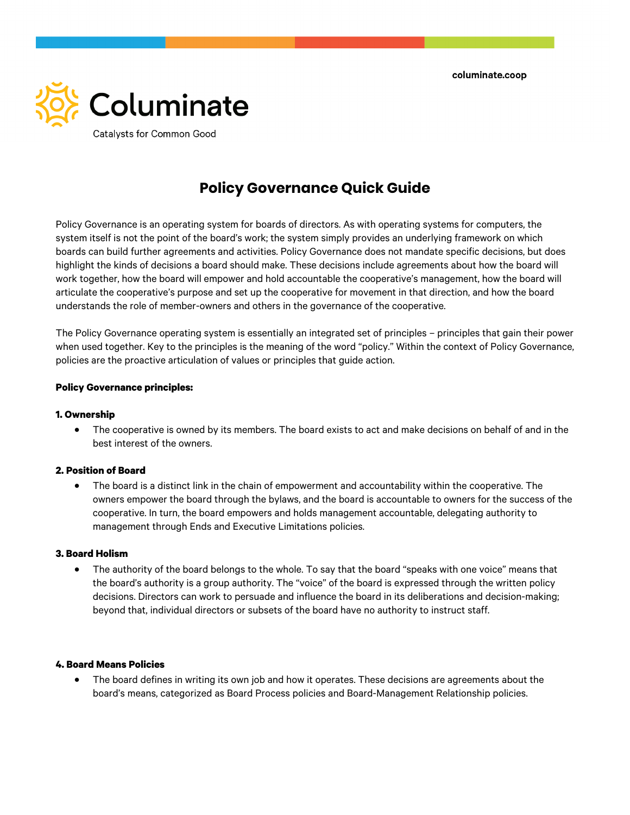

# **Policy Governance Quick Guide**

Policy Governance is an operating system for boards of directors. As with operating systems for computers, the system itself is not the point of the board's work; the system simply provides an underlying framework on which boards can build further agreements and activities. Policy Governance does not mandate specific decisions, but does highlight the kinds of decisions a board should make. These decisions include agreements about how the board will work together, how the board will empower and hold accountable the cooperative's management, how the board will articulate the cooperative's purpose and set up the cooperative for movement in that direction, and how the board understands the role of member-owners and others in the governance of the cooperative.

The Policy Governance operating system is essentially an integrated set of principles – principles that gain their power when used together. Key to the principles is the meaning of the word "policy." Within the context of Policy Governance, policies are the proactive articulation of values or principles that guide action.

### **Policy Governance principles:**

#### **1. Ownership**

• The cooperative is owned by its members. The board exists to act and make decisions on behalf of and in the best interest of the owners.

#### **2. Position of Board**

• The board is a distinct link in the chain of empowerment and accountability within the cooperative. The owners empower the board through the bylaws, and the board is accountable to owners for the success of the cooperative. In turn, the board empowers and holds management accountable, delegating authority to management through Ends and Executive Limitations policies.

#### **3. Board Holism**

• The authority of the board belongs to the whole. To say that the board "speaks with one voice" means that the board's authority is a group authority. The "voice" of the board is expressed through the written policy decisions. Directors can work to persuade and influence the board in its deliberations and decision-making; beyond that, individual directors or subsets of the board have no authority to instruct staff.

#### **4. Board Means Policies**

• The board defines in writing its own job and how it operates. These decisions are agreements about the board's means, categorized as Board Process policies and Board-Management Relationship policies.